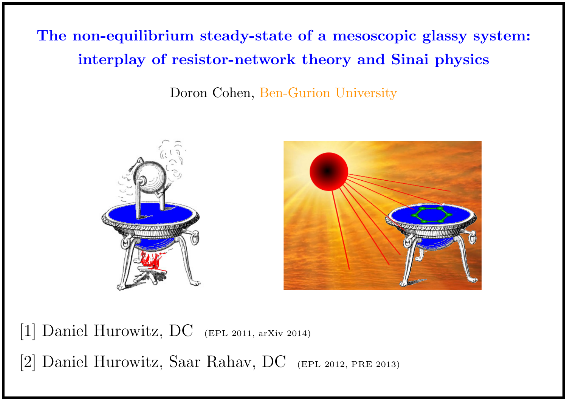The non-equilibrium steady-state of a mesoscopic glassy system: interplay of resistor-network theory and Sinai physics

Doron Cohen, Ben-Gurion University



[1] Daniel Hurowitz, DC (EPL 2011, arXiv 2014)

[2] Daniel Hurowitz, Saar Rahav, DC (EPL 2012, PRE 2013)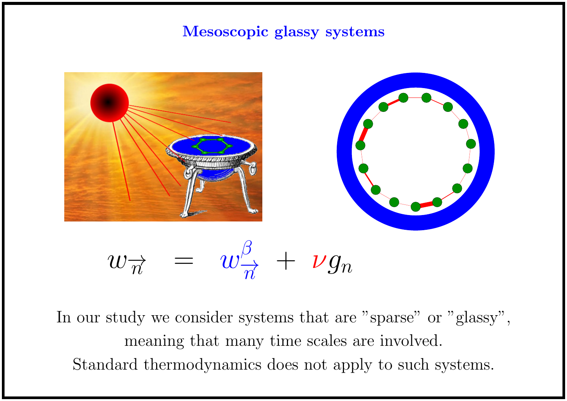### Mesoscopic glassy systems



In our study we consider systems that are "sparse" or "glassy", meaning that many time scales are involved. Standard thermodynamics does not apply to such systems.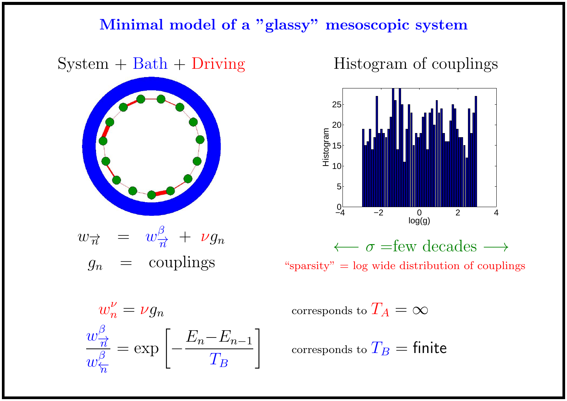## Minimal model of a "glassy" mesoscopic system

# $System + Bath + During$



$$
w_{\overrightarrow{n}} = w_{\overrightarrow{n}}^{\beta} + \nu g_n
$$
  

$$
g_n = \text{couplings}
$$

# Histogram of couplings



" $sparsity" = log wide distribution of couplings$ 

$$
w_n^{\nu} = \nu g_n
$$

$$
\frac{w_{\overrightarrow{n}}^{\beta}}{w_{\overleftarrow{n}}^{\beta}} = \exp\left[-\frac{E_n - E_{n-1}}{T_B}\right]
$$

corresponds to  $T_A = \infty$ 

corresponds to  $T_B =$  finite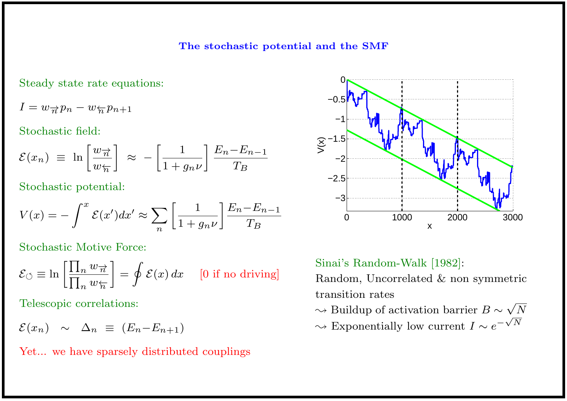#### The stochastic potential and the SMF

Steady state rate equations:

$$
I = w_{\overrightarrow{n}} p_n - w_{\overleftarrow{n}} p_{n+1}
$$

Stochastic field:

$$
\mathcal{E}(x_n) \equiv \ln \left[ \frac{w_{\overrightarrow{n}}}{w_{\overleftarrow{n}}} \right] \approx - \left[ \frac{1}{1 + g_n \nu} \right] \frac{E_n - E_{n-1}}{T_B}
$$

Stochastic potential:

$$
V(x) = -\int^{x} \mathcal{E}(x')dx' \approx \sum_{n} \left[ \frac{1}{1 + g_n \nu} \right] \frac{E_n - E_{n-1}}{T_B}
$$

Stochastic Motive Force:

$$
\mathcal{E}_{\circlearrowleft} \equiv \ln \left[ \frac{\prod_n w_{\overrightarrow{n}}}{\prod_n w_{\overleftarrow{n}}} \right] = \oint \mathcal{E}(x) dx \quad [0 \text{ if no driving}]
$$

Telescopic correlations:

$$
\mathcal{E}(x_n) \sim \Delta_n \equiv (E_n - E_{n+1})
$$

Yet... we have sparsely distributed couplings



Sinai's Random-Walk [1982]: Random, Uncorrelated & non symmetric transition rates  $\rightsquigarrow$  Buildup of activation barrier  $B \sim$ √  $\sqrt{N}$  $\rightsquigarrow$  Exponentially low current  $I \sim e^{-\sqrt{N}}$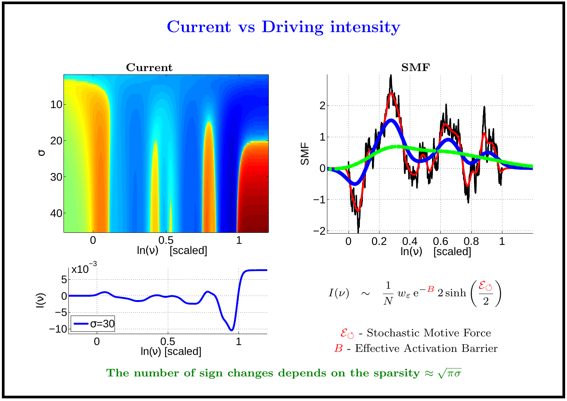# Current vs Driving intensity





 $\mathcal{E}_{\circlearrowleft}$  - Stochastic Motive Force B - Effective Activation Barrier

The number of sign changes depends on the sparsity  $\approx$ √  $\overline{\pi\sigma}$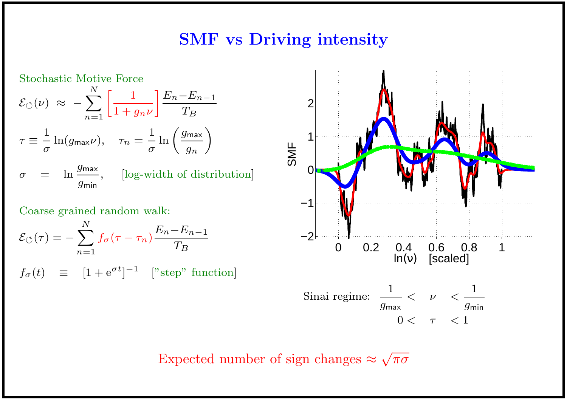## SMF vs Driving intensity





Expected number of sign changes  $\approx$ √  $\overline{\pi\sigma}$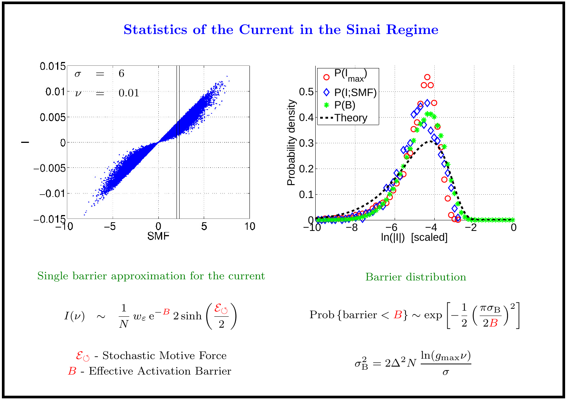### Statistics of the Current in the Sinai Regime



$$
I(\nu) \sim \frac{1}{N} w_{\varepsilon} e^{-B} 2 \sinh\left(\frac{\mathcal{E}_{\circlearrowleft}}{2}\right)
$$

 $\mathcal{E}_{\circlearrowleft}$  - Stochastic Motive Force

$$
Prob\left\{\text{barrier} < B\right\} \sim \exp\left[-\frac{1}{2}\left(\frac{\pi\sigma_B}{2B}\right)^2\right]
$$

$$
\sigma_{\rm B}^2 = 2 \Delta^2 N \, \frac{\ln(g_{\rm max} \nu)}{\sigma}
$$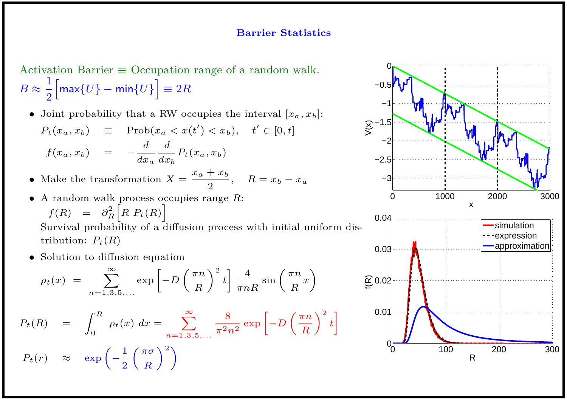#### Barrier Statistics

Activation Barrier  $\equiv$  Occupation range of a random walk.  $B \thickapprox$ 1 2  $\begin{bmatrix} \max\{U\} - \min\{U\} \end{bmatrix} \equiv 2R$ 

- Joint probability that a RW occupies the interval  $[x_a, x_b]$ :  $P_t(x_a, x_b) \equiv \text{Prob}(x_a < x(t') < x_b), \quad t' \in [0, t]$  $f(x_a, x_b) = \boldsymbol{d}$  $dx_a$  $\boldsymbol{d}$  $dx_b$  $P_t(x_a, x_b)$
- Make the transformation  $X =$  $x_a + x_b$ 2  $, \quad R = x_b - x_a$
- $\bullet$  A random walk process occupies range  $R$ :  $f(R) = \partial_R^2$ R  $\bigg[ R P_t(R) \bigg]$

Survival probability of a diffusion process with initial uniform distribution:  $P_t(R)$ 

• Solution to diffusion equation

$$
\rho_t(x) = \sum_{n=1,3,5,...}^{\infty} \exp\left[-D\left(\frac{\pi n}{R}\right)^2 t\right] \frac{4}{\pi n R} \sin\left(\frac{\pi n}{R}x\right)
$$

$$
P_t(R) = \int_0^R \rho_t(x) dx = \sum_{n=1,3,5,...}^{\infty} \frac{8}{\pi^2 n^2} \exp \left[ -D\left(\frac{\pi n}{R}\right)^2 t \right]
$$

$$
P_t(r) \approx \exp\left(-\frac{1}{2}\left(\frac{\pi\sigma}{R}\right)^2\right)
$$

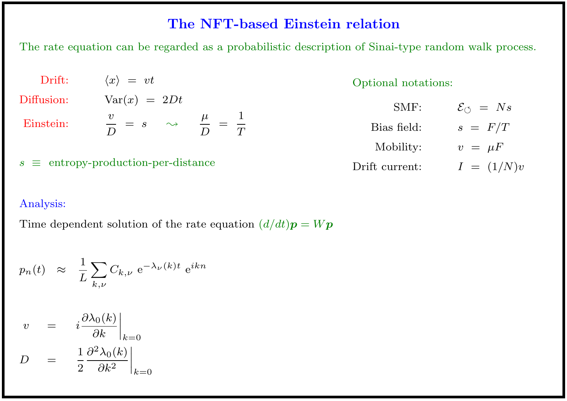### The NFT-based Einstein relation

The rate equation can be regarded as a probabilistic description of Sinai-type random walk process.

| Drift:                                     | $\langle x \rangle = vt$                                           | Optional notations: |                           |
|--------------------------------------------|--------------------------------------------------------------------|---------------------|---------------------------|
| Diffusion:                                 | $\text{Var}(x) = 2Dt$                                              | SMF:                | $\mathcal{E}_{\phi} = Ns$ |
| Einstein:                                  | $\frac{v}{D} = s \quad \leadsto \quad \frac{\mu}{D} = \frac{1}{T}$ | Bias field:         | $s = F/T$                 |
|                                            |                                                                    | Mobility:           | $v = \mu F$               |
| $s \equiv$ entropy-production-per-distance |                                                                    | Drift current:      | $I = (1/N)v$              |

### Analysis:

Time dependent solution of the rate equation  $(d/dt)p = Wp$ 

$$
p_n(t) \approx \frac{1}{L} \sum_{k,\nu} C_{k,\nu} e^{-\lambda_{\nu}(k)t} e^{ikn}
$$

$$
v = i \frac{\partial \lambda_0(k)}{\partial k} \Big|_{k=0}
$$
  

$$
D = \frac{1}{2} \frac{\partial^2 \lambda_0(k)}{\partial k^2} \Big|_{k=0}
$$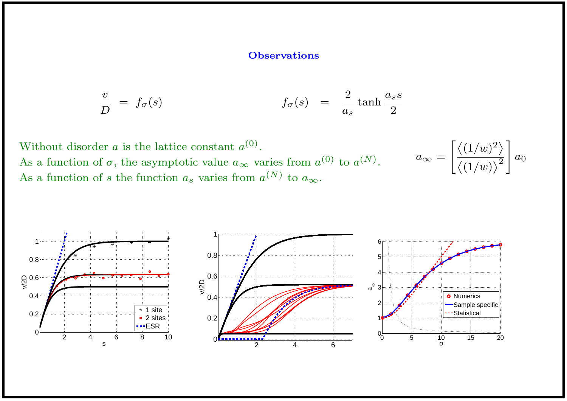#### **Observations**

$$
\frac{v}{D} = f_{\sigma}(s) \qquad f_{\sigma}(s) = \frac{2}{a_s} \tanh \frac{a_s s}{2}
$$

Without disorder a is the lattice constant  $a^{(0)}$ . As a function of  $\sigma$ , the asymptotic value  $a_{\infty}$  varies from  $a^{(0)}$  to  $a^{(N)}$ . As a function of s the function  $a_s$  varies from  $a^{(N)}$  to  $a_{\infty}$ .



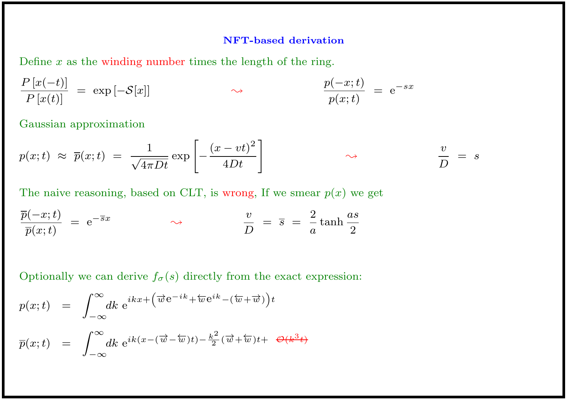#### NFT-based derivation

Define  $x$  as the winding number times the length of the ring.

$$
\frac{P\left[x(-t)\right]}{P\left[x(t)\right]} = \exp\left[-\mathcal{S}[x]\right] \qquad \qquad \leadsto \qquad \qquad \frac{p(-x;t)}{p(x;t)} = e^{-sx}
$$

Gaussian approximation

$$
p(x;t) \approx \overline{p}(x;t) = \frac{1}{\sqrt{4\pi Dt}} \exp\left[-\frac{(x-vt)^2}{4Dt}\right] \qquad \qquad \sim \qquad \frac{v}{D} = s
$$

The naive reasoning, based on CLT, is wrong, If we smear  $p(x)$  we get

$$
\frac{\overline{p}(-x;t)}{\overline{p}(x;t)} = e^{-\overline{s}x} \qquad \qquad \sim \qquad \frac{v}{D} = \overline{s} = \frac{2}{a}\tanh\frac{as}{2}
$$

Optionally we can derive  $f_{\sigma}(s)$  directly from the exact expression:

$$
p(x;t) = \int_{-\infty}^{\infty} dk \ e^{ikx + (\overrightarrow{w}e^{-ik} + \overleftarrow{w}e^{ik} - (\overleftarrow{w} + \overrightarrow{w}))t}
$$
  

$$
\overline{p}(x;t) = \int_{-\infty}^{\infty} dk \ e^{ik(x - (\overrightarrow{w} - \overleftarrow{w})t) - \frac{k^2}{2}(\overrightarrow{w} + \overleftarrow{w})t + \Theta(k^3t)}
$$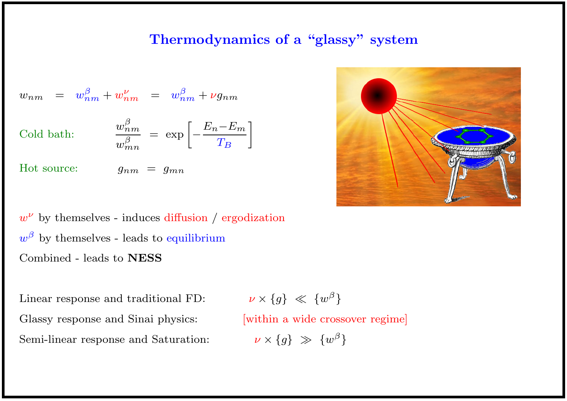### Thermodynamics of a "glassy" system

$$
w_{nm} = w_{nm}^{\beta} + w_{nm}^{\nu} = w_{nm}^{\beta} + \nu g_{nm}
$$

Cold bath:  $\frac{u}{u}$ 

$$
\frac{w_{nm}^{\beta}}{w_{mn}^{\beta}} = \exp \left[ -\frac{E_n - E_m}{T_B} \right]
$$

Hot source:  $g_{nm} = g_{mn}$ 



 $w^{\nu}$  by themselves - induces diffusion / ergodization  $w^{\beta}$  by themselves - leads to equilibrium Combined - leads to NESS

Linear response and traditional FD: Glassy response and Sinai physics: [within a wide crossover regime] Semi-linear response and Saturation:

 $\nu \times \{g\} \ll \{w^{\beta}\}\$  $\nu \times \{g\} \gg \{w^{\beta}\}\$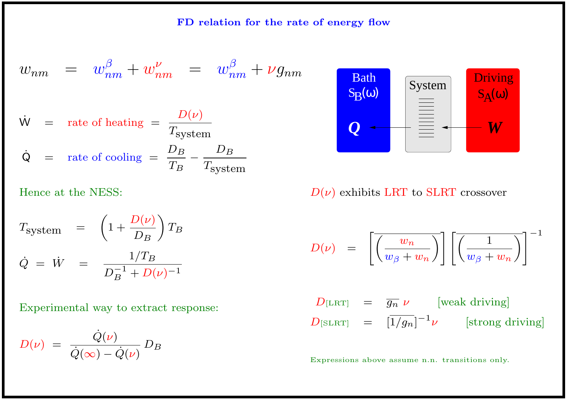FD relation for the rate of energy flow

$$
w_{nm} = w_{nm}^{\beta} + w_{nm}^{\nu} = w_{nm}^{\beta} + \nu g_{nm}
$$
  
\n
$$
\dot{w} = \text{rate of heating} = \frac{D(\nu)}{T_{\text{system}}}
$$
  
\n
$$
\dot{Q} = \text{rate of cooling} = \frac{D_B}{T_B} - \frac{D_B}{T_{\text{system}}}
$$

Hence at the NESS:

$$
T_{\text{system}} = \left(1 + \frac{D(\nu)}{D_B}\right) T_B
$$
  

$$
\dot{Q} = \dot{W} = \frac{1/T_B}{D_B^{-1} + D(\nu)^{-1}}
$$

Experimental way to extract response:

$$
D(\nu) = \frac{\dot{Q}(\nu)}{\dot{Q}(\infty) - \dot{Q}(\nu)} D_B
$$



 $D(\nu)$  exhibits LRT to SLRT crossover

$$
D(\nu) \;\; = \;\; \left[\overline{\left( \frac{w_n}{w_\beta + w_n} \right)}\right] \left[\overline{\left( \frac{1}{w_\beta + w_n} \right)}\right]^{-1}
$$

$$
D_{\text{[LRT]}} = \overline{g_n} \nu \qquad \text{[weak driving]}
$$
  

$$
D_{\text{[SLRT]}} = [\overline{1/g_n}]^{-1} \nu \qquad \text{[strong driving]}
$$

Expressions above assume n.n. transitions only.